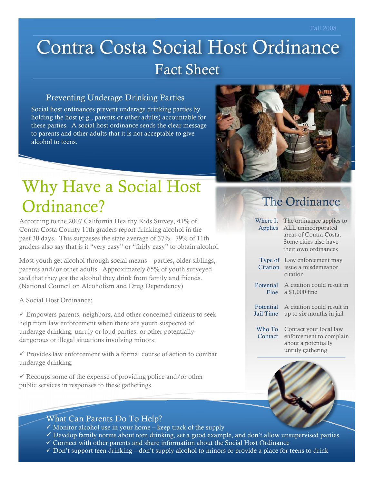# Contra Costa Social Host Ordinance Fact Sheet

#### Preventing Underage Drinking Parties

Social host ordinances prevent underage drinking parties by holding the host (e.g., parents or other adults) accountable for these parties. A social host ordinance sends the clear message to parents and other adults that it is not acceptable to give alcohol to teens.



## Why Have a Social Host Ordinance?

According to the 2007 California Healthy Kids Survey, 41% of Contra Costa County 11th graders report drinking alcohol in the past 30 days. This surpasses the state average of 37%. 79% of 11th graders also say that is it "very easy" or "fairly easy" to obtain alcohol.

Most youth get alcohol through social means – parties, older siblings, parents and/or other adults. Approximately 65% of youth surveyed said that they got the alcohol they drink from family and friends. (National Council on Alcoholism and Drug Dependency)

A Social Host Ordinance:

 $\checkmark$  Empowers parents, neighbors, and other concerned citizens to seek help from law enforcement when there are youth suspected of underage drinking, unruly or loud parties, or other potentially dangerous or illegal situations involving minors;

 $\checkmark$  Provides law enforcement with a formal course of action to combat underage drinking;

 $\checkmark$  Recoups some of the expense of providing police and/or other public services in responses to these gatherings.

### The Ordinance

| Where It<br>Applies           | The ordinance applies to<br>ALL unincorporated<br>areas of Contra Costa.<br>Some cities also have<br>their own ordinances |
|-------------------------------|---------------------------------------------------------------------------------------------------------------------------|
| Type of<br>Citation           | Law enforcement may<br>issue a misdemeanor<br>citation                                                                    |
| <b>Potential</b><br>Fine      | A citation could result in<br>a \$1,000 fine                                                                              |
| <b>Potential</b><br>Jail Time | A citation could result in<br>up to six months in jail                                                                    |
| Who To<br>Contact             | Contact your local law<br>enforcement to complain<br>about a potentially<br>unruly gathering                              |



#### What Can Parents Do To Help?

- $\checkmark$  Monitor alcohol use in your home keep track of the supply
- $\checkmark$  Develop family norms about teen drinking, set a good example, and don't allow unsupervised parties
- $\checkmark$  Connect with other parents and share information about the Social Host Ordinance
- $\checkmark$  Don't support teen drinking don't supply alcohol to minors or provide a place for teens to drink